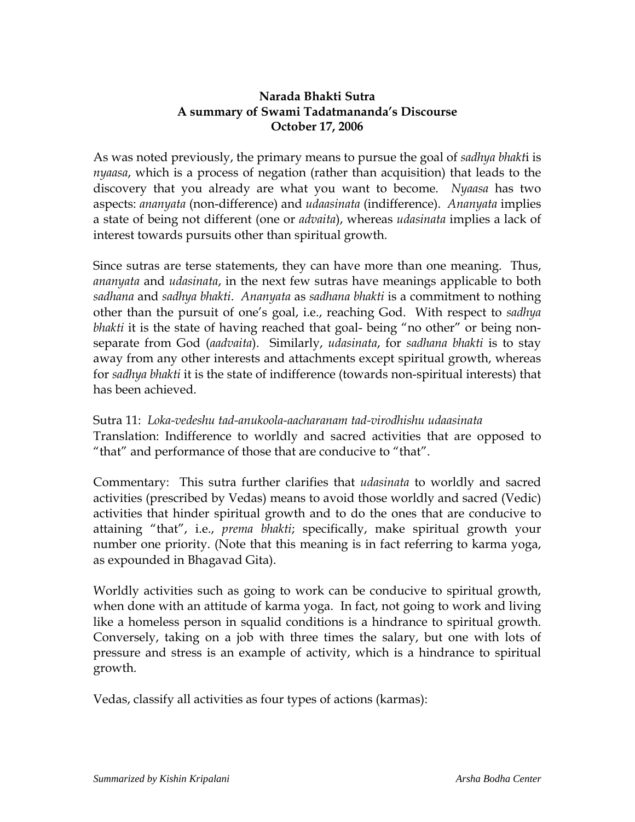## **Narada Bhakti Sutra A summary of Swami Tadatmananda's Discourse October 17, 2006**

As was noted previously, the primary means to pursue the goal of *sadhya bhakt*i is *nyaasa*, which is a process of negation (rather than acquisition) that leads to the discovery that you already are what you want to become. *Nyaasa* has two aspects: *ananyata* (non-difference) and *udaasinata* (indifference). *Ananyata* implies a state of being not different (one or *advaita*), whereas *udasinata* implies a lack of interest towards pursuits other than spiritual growth.

Since sutras are terse statements, they can have more than one meaning. Thus, *ananyata* and *udasinata*, in the next few sutras have meanings applicable to both *sadhana* and *sadhya bhakti*. *Ananyata* as *sadhana bhakti* is a commitment to nothing other than the pursuit of one's goal, i.e., reaching God. With respect to *sadhya bhakti* it is the state of having reached that goal- being "no other" or being nonseparate from God (*aadvaita*). Similarly, *udasinata*, for *sadhana bhakti* is to stay away from any other interests and attachments except spiritual growth, whereas for *sadhya bhakti* it is the state of indifference (towards non-spiritual interests) that has been achieved.

Sutra 11: *Loka-vedeshu tad-anukoola-aacharanam tad-virodhishu udaasinata* Translation: Indifference to worldly and sacred activities that are opposed to "that" and performance of those that are conducive to "that".

Commentary: This sutra further clarifies that *udasinata* to worldly and sacred activities (prescribed by Vedas) means to avoid those worldly and sacred (Vedic) activities that hinder spiritual growth and to do the ones that are conducive to attaining "that", i.e., *prema bhakti*; specifically, make spiritual growth your number one priority. (Note that this meaning is in fact referring to karma yoga, as expounded in Bhagavad Gita).

Worldly activities such as going to work can be conducive to spiritual growth, when done with an attitude of karma yoga. In fact, not going to work and living like a homeless person in squalid conditions is a hindrance to spiritual growth. Conversely, taking on a job with three times the salary, but one with lots of pressure and stress is an example of activity, which is a hindrance to spiritual growth.

Vedas, classify all activities as four types of actions (karmas):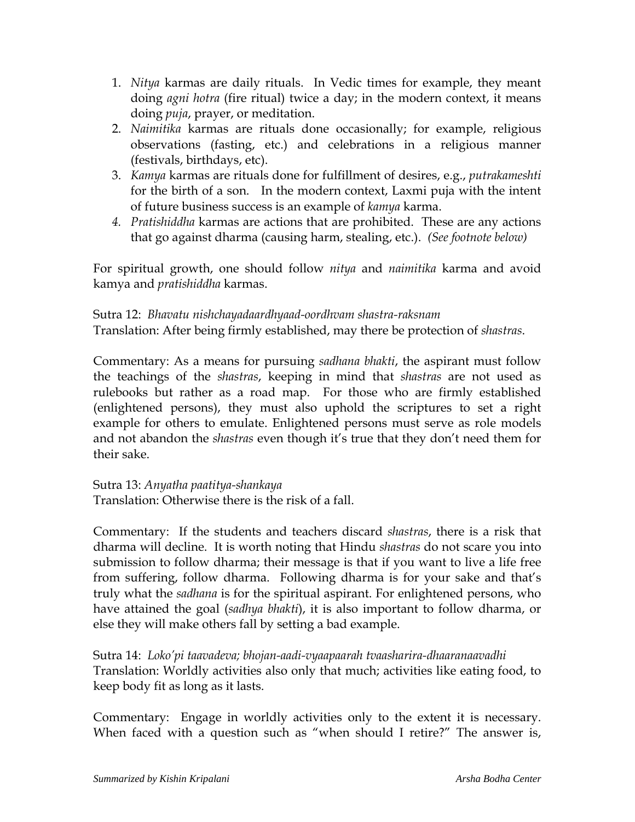- 1. *Nitya* karmas are daily rituals. In Vedic times for example, they meant doing *agni hotra* (fire ritual) twice a day; in the modern context, it means doing *puja*, prayer, or meditation.
- 2. *Naimitika* karmas are rituals done occasionally; for example, religious observations (fasting, etc.) and celebrations in a religious manner (festivals, birthdays, etc).
- 3. *Kamya* karmas are rituals done for fulfillment of desires, e.g., *putrakameshti* for the birth of a son. In the modern context, Laxmi puja with the intent of future business success is an example of *kamya* karma.
- *4. Pratishiddha* karmas are actions that are prohibited. These are any actions that go against dharma (causing harm, stealing, etc.). *(See footnote below)*

For spiritual growth, one should follow *nitya* and *naimitika* karma and avoid kamya and *pratishiddha* karmas.

Sutra 12: *Bhavatu nishchayadaardhyaad-oordhvam shastra-raksnam*  Translation: After being firmly established, may there be protection of *shastras*.

Commentary: As a means for pursuing *sadhana bhakti*, the aspirant must follow the teachings of the *shastras*, keeping in mind that *shastras* are not used as rulebooks but rather as a road map. For those who are firmly established (enlightened persons), they must also uphold the scriptures to set a right example for others to emulate. Enlightened persons must serve as role models and not abandon the *shastras* even though it's true that they don't need them for their sake.

Sutra 13: *Anyatha paatitya-shankaya*  Translation: Otherwise there is the risk of a fall.

Commentary: If the students and teachers discard *shastras*, there is a risk that dharma will decline. It is worth noting that Hindu *shastras* do not scare you into submission to follow dharma; their message is that if you want to live a life free from suffering, follow dharma. Following dharma is for your sake and that's truly what the *sadhana* is for the spiritual aspirant. For enlightened persons, who have attained the goal (*sadhya bhakti*), it is also important to follow dharma, or else they will make others fall by setting a bad example.

Sutra 14: *Loko'pi taavadeva; bhojan-aadi-vyaapaarah tvaasharira-dhaaranaavadhi* Translation: Worldly activities also only that much; activities like eating food, to keep body fit as long as it lasts.

Commentary: Engage in worldly activities only to the extent it is necessary. When faced with a question such as "when should I retire?" The answer is,